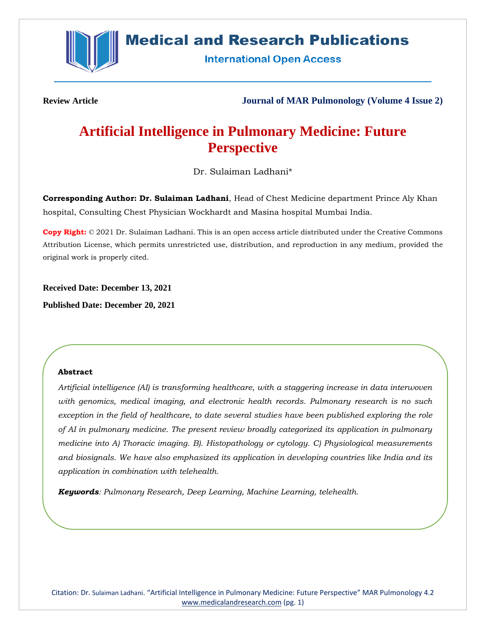

# **Medical and Research Publications**

**International Open Access** 

**Review Article Journal of MAR Pulmonology (Volume 4 Issue 2)**

# **Artificial Intelligence in Pulmonary Medicine: Future Perspective**

Dr. Sulaiman Ladhani\*

**Corresponding Author: Dr. Sulaiman Ladhani**, Head of Chest Medicine department Prince Aly Khan hospital, Consulting Chest Physician Wockhardt and Masina hospital Mumbai India.

**Copy Right:** © 2021 Dr. Sulaiman Ladhani. This is an open access article distributed under the Creative Commons Attribution License, which permits unrestricted use, distribution, and reproduction in any medium, provided the original work is properly cited.

**Received Date: December 13, 2021**

**Published Date: December 20, 2021**

# **Abstract**

*Artificial intelligence (AI) is transforming healthcare, with a staggering increase in data interwoven with genomics, medical imaging, and electronic health records. Pulmonary research is no such exception in the field of healthcare, to date several studies have been published exploring the role of AI in pulmonary medicine. The present review broadly categorized its application in pulmonary medicine into A) Thoracic imaging. B). Histopathology or cytology. C) Physiological measurements and biosignals. We have also emphasized its application in developing countries like India and its application in combination with telehealth.*

*Keywords: Pulmonary Research, Deep Learning, Machine Learning, telehealth.*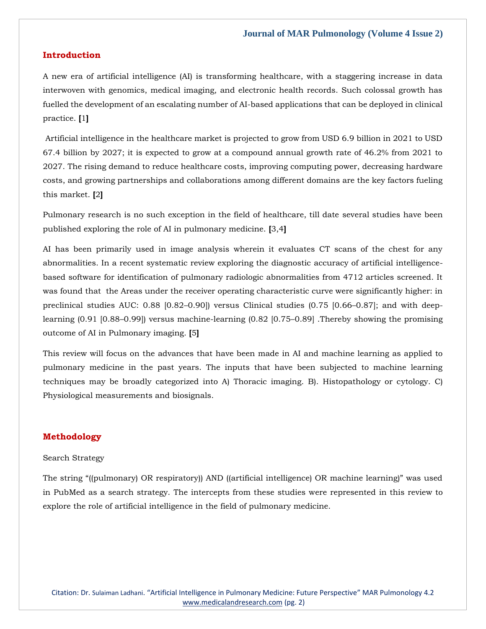## **Introduction**

A new era of artificial intelligence (AI) is transforming healthcare, with a staggering increase in data interwoven with genomics, medical imaging, and electronic health records. Such colossal growth has fuelled the development of an escalating number of AI-based applications that can be deployed in clinical practice. **[**1**]**

Artificial intelligence in the healthcare market is projected to grow from USD 6.9 billion in 2021 to USD 67.4 billion by 2027; it is expected to grow at a compound annual growth rate of 46.2% from 2021 to 2027. The rising demand to reduce healthcare costs, improving computing power, decreasing hardware costs, and growing partnerships and collaborations among different domains are the key factors fueling this market. **[**2**]**

Pulmonary research is no such exception in the field of healthcare, till date several studies have been published exploring the role of AI in pulmonary medicine. **[**3,4**]**

AI has been primarily used in image analysis wherein it evaluates CT scans of the chest for any abnormalities. In a recent systematic review exploring the diagnostic accuracy of artificial intelligencebased software for identification of pulmonary radiologic abnormalities from 4712 articles screened. It was found that the Areas under the receiver operating characteristic curve were significantly higher: in preclinical studies AUC: 0.88 [0.82–0.90]) versus Clinical studies (0.75 [0.66–0.87]; and with deeplearning (0.91 [0.88–0.99]) versus machine-learning (0.82 [0.75–0.89] .Thereby showing the promising outcome of AI in Pulmonary imaging. **[**5**]**

This review will focus on the advances that have been made in AI and machine learning as applied to pulmonary medicine in the past years. The inputs that have been subjected to machine learning techniques may be broadly categorized into A) Thoracic imaging. B). Histopathology or cytology. C) Physiological measurements and biosignals.

# **Methodology**

## Search Strategy

The string "((pulmonary) OR respiratory)) AND ((artificial intelligence) OR machine learning)" was used in PubMed as a search strategy. The intercepts from these studies were represented in this review to explore the role of artificial intelligence in the field of pulmonary medicine.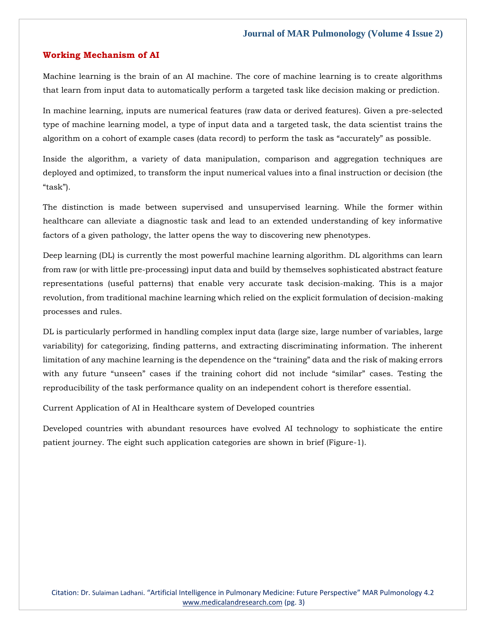## **Working Mechanism of AI**

Machine learning is the brain of an AI machine. The core of machine learning is to create algorithms that learn from input data to automatically perform a targeted task like decision making or prediction.

In machine learning, inputs are numerical features (raw data or derived features). Given a pre-selected type of machine learning model, a type of input data and a targeted task, the data scientist trains the algorithm on a cohort of example cases (data record) to perform the task as "accurately" as possible.

Inside the algorithm, a variety of data manipulation, comparison and aggregation techniques are deployed and optimized, to transform the input numerical values into a final instruction or decision (the "task").

The distinction is made between supervised and unsupervised learning. While the former within healthcare can alleviate a diagnostic task and lead to an extended understanding of key informative factors of a given pathology, the latter opens the way to discovering new phenotypes.

Deep learning (DL) is currently the most powerful machine learning algorithm. DL algorithms can learn from raw (or with little pre-processing) input data and build by themselves sophisticated abstract feature representations (useful patterns) that enable very accurate task decision-making. This is a major revolution, from traditional machine learning which relied on the explicit formulation of decision-making processes and rules.

DL is particularly performed in handling complex input data (large size, large number of variables, large variability) for categorizing, finding patterns, and extracting discriminating information. The inherent limitation of any machine learning is the dependence on the "training" data and the risk of making errors with any future "unseen" cases if the training cohort did not include "similar" cases. Testing the reproducibility of the task performance quality on an independent cohort is therefore essential.

Current Application of AI in Healthcare system of Developed countries

Developed countries with abundant resources have evolved AI technology to sophisticate the entire patient journey. The eight such application categories are shown in brief (Figure-1).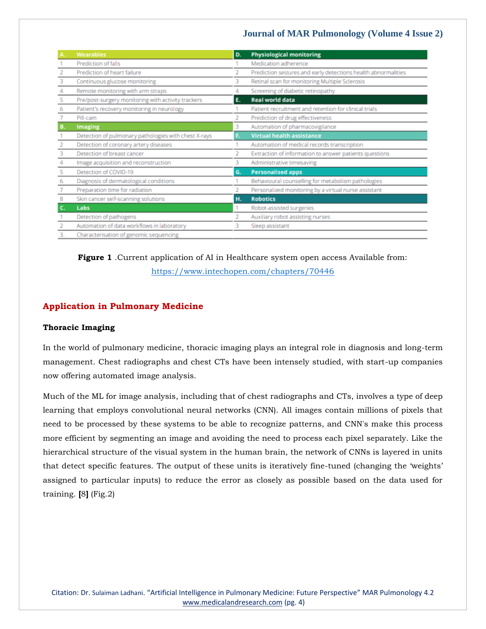|    | <b>Wearables</b>                                     | D. | <b>Physiological monitoring</b>                               |
|----|------------------------------------------------------|----|---------------------------------------------------------------|
|    | Prediction of falls                                  |    | Medication adherence                                          |
|    | Prediction of heart failure                          |    | Prediction seizures and early detections health abnormalities |
|    | Continuous glucose monitoring                        | 3  | Retinal scan for monitoring Multiple Sclerosis                |
|    | Remote monitoring with arm straps                    | 4  | Screening of diabetic retinopathy                             |
| 5  | Pre/post-surgery monitoring with activity trackers   | Е. | <b>Real world data</b>                                        |
| 6  | Patient's recovery monitoring in neurology           |    | Patient recruitment and retention for clinical trials         |
|    | Pill-cam                                             |    | Prediction of drug effectiveness                              |
| в. | <b>Imaging</b>                                       | 3  | Automation of pharmacovigilance                               |
|    | Detection of pulmonary pathologies with chest X-rays | F. | <b>Virtual health assistance</b>                              |
|    | Detection of coronary artery diseases                |    | Automation of medical records transcription                   |
|    | Detection of breast cancer                           | 2  | Extraction of information to answer patients questions        |
|    | Image acquisition and reconstruction                 | 3  | Administrative timesaving                                     |
|    | Detection of COVID-19                                | G. | <b>Personalised apps</b>                                      |
| 6  | Diagnosis of dermatological conditions               |    | Behavioural counselling for metabolism pathologies            |
|    | Preparation time for radiation                       |    | Personalized monitoring by a virtual nurse assistant          |
|    | Skin cancer self-scanning solutions                  | н. | <b>Robotics</b>                                               |
| c. | Labs                                                 |    | Robot-assisted surgeries                                      |
|    | Detection of pathogens                               |    | Auxiliary robot assisting nurses                              |
|    | Automation of data workflows in laboratory           | 3  | Sleep assistant                                               |
| 3. | Characterisation of genomic sequencing               |    |                                                               |

# **Figure 1** .Current application of AI in Healthcare system open access Available from: <https://www.intechopen.com/chapters/70446>

# **Application in Pulmonary Medicine**

# **Thoracic Imaging**

In the world of pulmonary medicine, thoracic imaging plays an integral role in diagnosis and long-term management. Chest radiographs and chest CTs have been intensely studied, with start-up companies now offering automated image analysis.

Much of the ML for image analysis, including that of chest radiographs and CTs, involves a type of deep learning that employs convolutional neural networks (CNN). All images contain millions of pixels that need to be processed by these systems to be able to recognize patterns, and CNN's make this process more efficient by segmenting an image and avoiding the need to process each pixel separately. Like the hierarchical structure of the visual system in the human brain, the network of CNNs is layered in units that detect specific features. The output of these units is iteratively fine-tuned (changing the 'weights' assigned to particular inputs) to reduce the error as closely as possible based on the data used for training. **[**8**]** (Fig.2)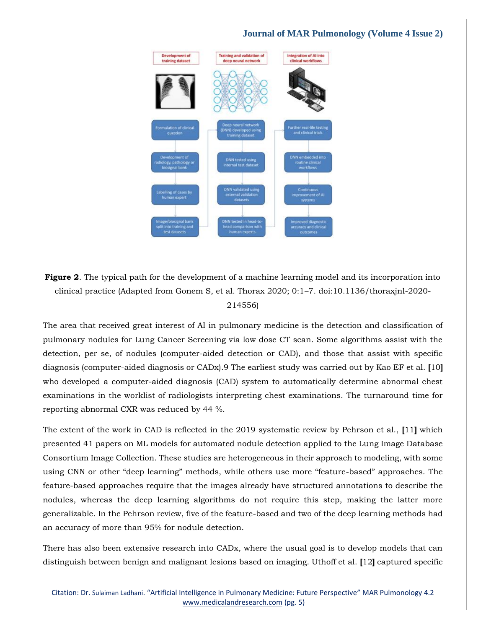

**Figure 2.** The typical path for the development of a machine learning model and its incorporation into clinical practice (Adapted from Gonem S, et al. Thorax 2020; 0:1–7. doi:10.1136/thoraxjnl-2020- 214556)

The area that received great interest of AI in pulmonary medicine is the detection and classification of pulmonary nodules for Lung Cancer Screening via low dose CT scan. Some algorithms assist with the detection, per se, of nodules (computer-aided detection or CAD), and those that assist with specific diagnosis (computer-aided diagnosis or CADx).9 The earliest study was carried out by Kao EF et al. **[**10**]** who developed a computer-aided diagnosis (CAD) system to automatically determine abnormal chest examinations in the worklist of radiologists interpreting chest examinations. The turnaround time for reporting abnormal CXR was reduced by 44 %.

The extent of the work in CAD is reflected in the 2019 systematic review by Pehrson et al., **[**11**]** which presented 41 papers on ML models for automated nodule detection applied to the Lung Image Database Consortium Image Collection. These studies are heterogeneous in their approach to modeling, with some using CNN or other "deep learning" methods, while others use more "feature-based" approaches. The feature-based approaches require that the images already have structured annotations to describe the nodules, whereas the deep learning algorithms do not require this step, making the latter more generalizable. In the Pehrson review, five of the feature-based and two of the deep learning methods had an accuracy of more than 95% for nodule detection.

There has also been extensive research into CADx, where the usual goal is to develop models that can distinguish between benign and malignant lesions based on imaging. Uthoff et al. **[**12**]** captured specific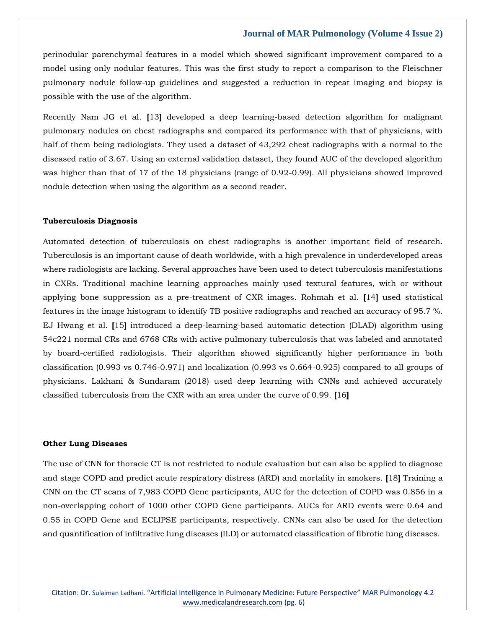perinodular parenchymal features in a model which showed significant improvement compared to a model using only nodular features. This was the first study to report a comparison to the Fleischner pulmonary nodule follow-up guidelines and suggested a reduction in repeat imaging and biopsy is possible with the use of the algorithm.

Recently Nam JG et al. **[**13**]** developed a deep learning-based detection algorithm for malignant pulmonary nodules on chest radiographs and compared its performance with that of physicians, with half of them being radiologists. They used a dataset of 43,292 chest radiographs with a normal to the diseased ratio of 3.67. Using an external validation dataset, they found AUC of the developed algorithm was higher than that of 17 of the 18 physicians (range of 0.92-0.99). All physicians showed improved nodule detection when using the algorithm as a second reader.

#### **Tuberculosis Diagnosis**

Automated detection of tuberculosis on chest radiographs is another important field of research. Tuberculosis is an important cause of death worldwide, with a high prevalence in underdeveloped areas where radiologists are lacking. Several approaches have been used to detect tuberculosis manifestations in CXRs. Traditional machine learning approaches mainly used textural features, with or without applying bone suppression as a pre-treatment of CXR images. Rohmah et al. **[**14**]** used statistical features in the image histogram to identify TB positive radiographs and reached an accuracy of 95.7 %. EJ Hwang et al. **[**15**]** introduced a deep-learning-based automatic detection (DLAD) algorithm using 54c221 normal CRs and 6768 CRs with active pulmonary tuberculosis that was labeled and annotated by board-certified radiologists. Their algorithm showed significantly higher performance in both classification (0.993 vs 0.746-0.971) and localization (0.993 vs 0.664-0.925) compared to all groups of physicians. Lakhani & Sundaram (2018) used deep learning with CNNs and achieved accurately classified tuberculosis from the CXR with an area under the curve of 0.99. **[**16**]**

#### **Other Lung Diseases**

The use of CNN for thoracic CT is not restricted to nodule evaluation but can also be applied to diagnose and stage COPD and predict acute respiratory distress (ARD) and mortality in smokers. **[**18**]** Training a CNN on the CT scans of 7,983 COPD Gene participants, AUC for the detection of COPD was 0.856 in a non-overlapping cohort of 1000 other COPD Gene participants. AUCs for ARD events were 0.64 and 0.55 in COPD Gene and ECLIPSE participants, respectively. CNNs can also be used for the detection and quantification of infiltrative lung diseases (ILD) or automated classification of fibrotic lung diseases.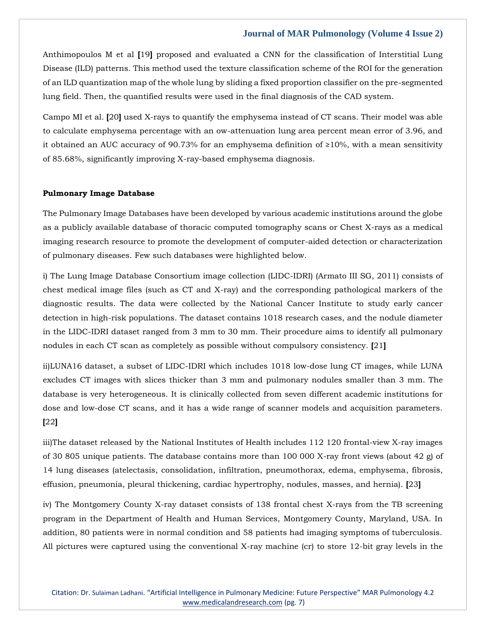Anthimopoulos M et al **[**19**]** proposed and evaluated a CNN for the classification of Interstitial Lung Disease (ILD) patterns. This method used the texture classification scheme of the ROI for the generation of an ILD quantization map of the whole lung by sliding a fixed proportion classifier on the pre-segmented lung field. Then, the quantified results were used in the final diagnosis of the CAD system.

Campo MI et al. **[**20**]** used X-rays to quantify the emphysema instead of CT scans. Their model was able to calculate emphysema percentage with an ow-attenuation lung area percent mean error of 3.96, and it obtained an AUC accuracy of 90.73% for an emphysema definition of ≥10%, with a mean sensitivity of 85.68%, significantly improving X-ray-based emphysema diagnosis.

#### **Pulmonary Image Database**

The Pulmonary Image Databases have been developed by various academic institutions around the globe as a publicly available database of thoracic computed tomography scans or Chest X-rays as a medical imaging research resource to promote the development of computer-aided detection or characterization of pulmonary diseases. Few such databases were highlighted below.

i) The Lung Image Database Consortium image collection (LIDC-IDRI) (Armato III SG, 2011) consists of chest medical image files (such as CT and X-ray) and the corresponding pathological markers of the diagnostic results. The data were collected by the National Cancer Institute to study early cancer detection in high-risk populations. The dataset contains 1018 research cases, and the nodule diameter in the LIDC-IDRI dataset ranged from 3 mm to 30 mm. Their procedure aims to identify all pulmonary nodules in each CT scan as completely as possible without compulsory consistency. **[**21**]**

ii)LUNA16 dataset, a subset of LIDC-IDRI which includes 1018 low-dose lung CT images, while LUNA excludes CT images with slices thicker than 3 mm and pulmonary nodules smaller than 3 mm. The database is very heterogeneous. It is clinically collected from seven different academic institutions for dose and low-dose CT scans, and it has a wide range of scanner models and acquisition parameters. **[**22**]**

iii)The dataset released by the National Institutes of Health includes 112 120 frontal-view X-ray images of 30 805 unique patients. The database contains more than 100 000 X-ray front views (about 42 g) of 14 lung diseases (atelectasis, consolidation, infiltration, pneumothorax, edema, emphysema, fibrosis, effusion, pneumonia, pleural thickening, cardiac hypertrophy, nodules, masses, and hernia). **[**23**]**

iv) The Montgomery County X-ray dataset consists of 138 frontal chest X-rays from the TB screening program in the Department of Health and Human Services, Montgomery County, Maryland, USA. In addition, 80 patients were in normal condition and 58 patients had imaging symptoms of tuberculosis. All pictures were captured using the conventional X-ray machine (cr) to store 12-bit gray levels in the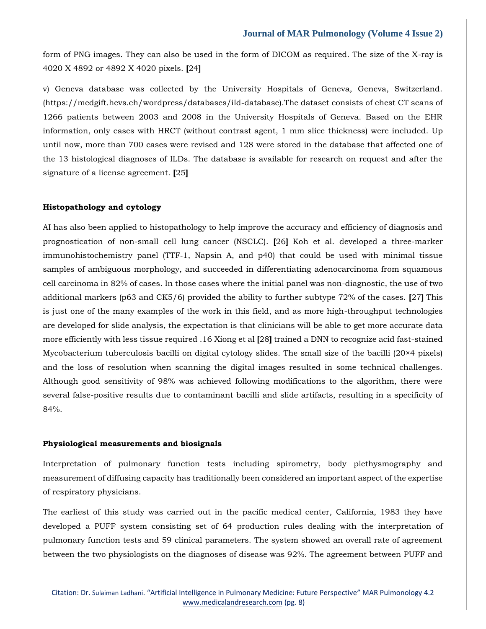form of PNG images. They can also be used in the form of DICOM as required. The size of the X-ray is 4020 X 4892 or 4892 X 4020 pixels. **[**24**]**

v) Geneva database was collected by the University Hospitals of Geneva, Geneva, Switzerland. (https://medgift.hevs.ch/wordpress/databases/ild-database).The dataset consists of chest CT scans of 1266 patients between 2003 and 2008 in the University Hospitals of Geneva. Based on the EHR information, only cases with HRCT (without contrast agent, 1 mm slice thickness) were included. Up until now, more than 700 cases were revised and 128 were stored in the database that affected one of the 13 histological diagnoses of ILDs. The database is available for research on request and after the signature of a license agreement. **[**25**]**

#### **Histopathology and cytology**

AI has also been applied to histopathology to help improve the accuracy and efficiency of diagnosis and prognostication of non-small cell lung cancer (NSCLC). **[**26**]** Koh et al. developed a three-marker immunohistochemistry panel (TTF‐1, Napsin A, and p40) that could be used with minimal tissue samples of ambiguous morphology, and succeeded in differentiating adenocarcinoma from squamous cell carcinoma in 82% of cases. In those cases where the initial panel was non-diagnostic, the use of two additional markers (p63 and CK5/6) provided the ability to further subtype 72% of the cases. **[**27**]** This is just one of the many examples of the work in this field, and as more high-throughput technologies are developed for slide analysis, the expectation is that clinicians will be able to get more accurate data more efficiently with less tissue required .16 Xiong et al **[**28**]** trained a DNN to recognize acid fast-stained Mycobacterium tuberculosis bacilli on digital cytology slides. The small size of the bacilli (20×4 pixels) and the loss of resolution when scanning the digital images resulted in some technical challenges. Although good sensitivity of 98% was achieved following modifications to the algorithm, there were several false-positive results due to contaminant bacilli and slide artifacts, resulting in a specificity of 84%.

#### **Physiological measurements and biosignals**

Interpretation of pulmonary function tests including spirometry, body plethysmography and measurement of diffusing capacity has traditionally been considered an important aspect of the expertise of respiratory physicians.

The earliest of this study was carried out in the pacific medical center, California, 1983 they have developed a PUFF system consisting set of 64 production rules dealing with the interpretation of pulmonary function tests and 59 clinical parameters. The system showed an overall rate of agreement between the two physiologists on the diagnoses of disease was 92%. The agreement between PUFF and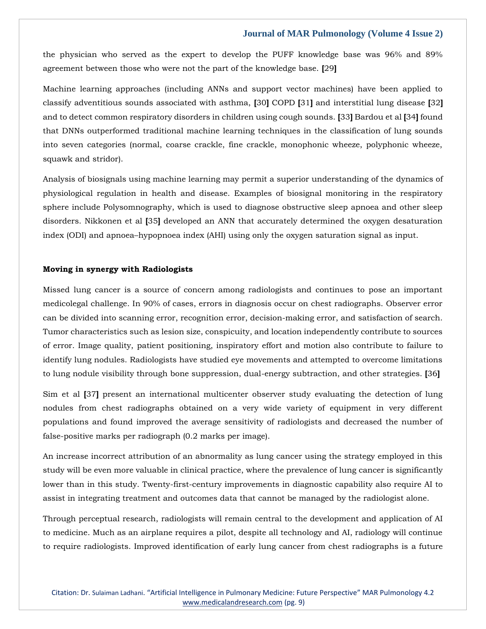the physician who served as the expert to develop the PUFF knowledge base was 96% and 89% agreement between those who were not the part of the knowledge base. **[**29**]**

Machine learning approaches (including ANNs and support vector machines) have been applied to classify adventitious sounds associated with asthma, **[**30**]** COPD **[**31**]** and interstitial lung disease **[**32**]** and to detect common respiratory disorders in children using cough sounds. **[**33**]** Bardou et al **[**34**]** found that DNNs outperformed traditional machine learning techniques in the classification of lung sounds into seven categories (normal, coarse crackle, fine crackle, monophonic wheeze, polyphonic wheeze, squawk and stridor).

Analysis of biosignals using machine learning may permit a superior understanding of the dynamics of physiological regulation in health and disease. Examples of biosignal monitoring in the respiratory sphere include Polysomnography, which is used to diagnose obstructive sleep apnoea and other sleep disorders. Nikkonen et al **[**35**]** developed an ANN that accurately determined the oxygen desaturation index (ODI) and apnoea–hypopnoea index (AHI) using only the oxygen saturation signal as input.

#### **Moving in synergy with Radiologists**

Missed lung cancer is a source of concern among radiologists and continues to pose an important medicolegal challenge. In 90% of cases, errors in diagnosis occur on chest radiographs. Observer error can be divided into scanning error, recognition error, decision-making error, and satisfaction of search. Tumor characteristics such as lesion size, conspicuity, and location independently contribute to sources of error. Image quality, patient positioning, inspiratory effort and motion also contribute to failure to identify lung nodules. Radiologists have studied eye movements and attempted to overcome limitations to lung nodule visibility through bone suppression, dual-energy subtraction, and other strategies. **[**36**]**

Sim et al **[**37**]** present an international multicenter observer study evaluating the detection of lung nodules from chest radiographs obtained on a very wide variety of equipment in very different populations and found improved the average sensitivity of radiologists and decreased the number of false-positive marks per radiograph (0.2 marks per image).

An increase incorrect attribution of an abnormality as lung cancer using the strategy employed in this study will be even more valuable in clinical practice, where the prevalence of lung cancer is significantly lower than in this study. Twenty-first-century improvements in diagnostic capability also require AI to assist in integrating treatment and outcomes data that cannot be managed by the radiologist alone.

Through perceptual research, radiologists will remain central to the development and application of AI to medicine. Much as an airplane requires a pilot, despite all technology and AI, radiology will continue to require radiologists. Improved identification of early lung cancer from chest radiographs is a future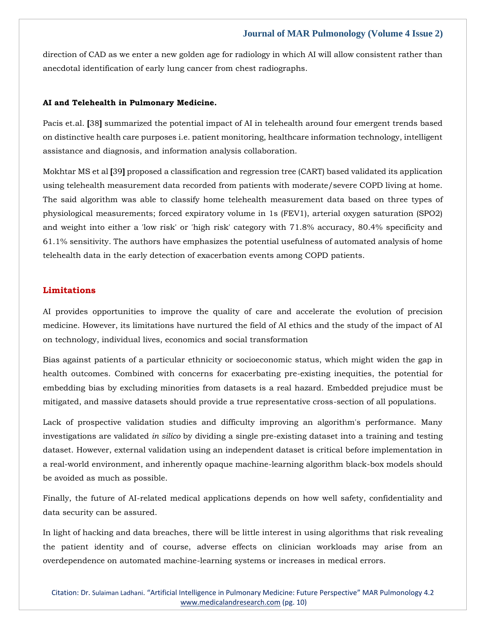direction of CAD as we enter a new golden age for radiology in which AI will allow consistent rather than anecdotal identification of early lung cancer from chest radiographs.

#### **AI and Telehealth in Pulmonary Medicine.**

Pacis et.al. **[**38**]** summarized the potential impact of AI in telehealth around four emergent trends based on distinctive health care purposes i.e. patient monitoring, healthcare information technology, intelligent assistance and diagnosis, and information analysis collaboration.

Mokhtar MS et al **[**39**]** proposed a classification and regression tree (CART) based validated its application using telehealth measurement data recorded from patients with moderate/severe COPD living at home. The said algorithm was able to classify home telehealth measurement data based on three types of physiological measurements; forced expiratory volume in 1s (FEV1), arterial oxygen saturation (SPO2) and weight into either a 'low risk' or 'high risk' category with 71.8% accuracy, 80.4% specificity and 61.1% sensitivity. The authors have emphasizes the potential usefulness of automated analysis of home telehealth data in the early detection of exacerbation events among COPD patients.

# **Limitations**

AI provides opportunities to improve the quality of care and accelerate the evolution of precision medicine. However, its limitations have nurtured the field of AI ethics and the study of the impact of AI on technology, individual lives, economics and social transformation

Bias against patients of a particular ethnicity or socioeconomic status, which might widen the gap in health outcomes. Combined with concerns for exacerbating pre-existing inequities, the potential for embedding bias by excluding minorities from datasets is a real hazard. Embedded prejudice must be mitigated, and massive datasets should provide a true representative cross-section of all populations.

Lack of prospective validation studies and difficulty improving an algorithm's performance. Many investigations are validated *in silico* by dividing a single pre-existing dataset into a training and testing dataset. However, external validation using an independent dataset is critical before implementation in a real-world environment, and inherently opaque machine-learning algorithm black-box models should be avoided as much as possible.

Finally, the future of AI-related medical applications depends on how well safety, confidentiality and data security can be assured.

In light of hacking and data breaches, there will be little interest in using algorithms that risk revealing the patient identity and of course, adverse effects on clinician workloads may arise from an overdependence on automated machine-learning systems or increases in medical errors.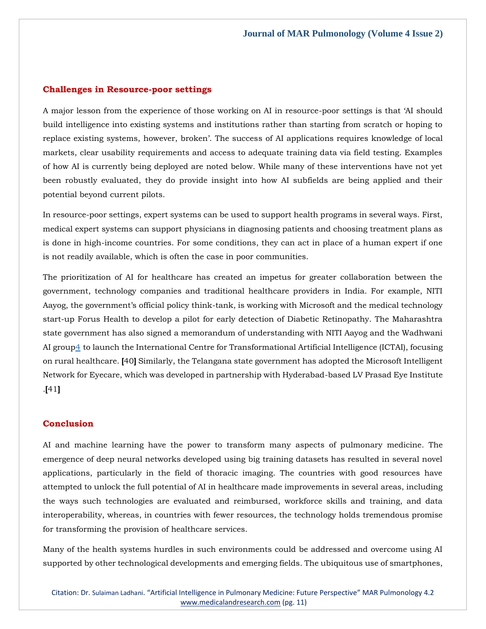#### **Challenges in Resource-poor settings**

A major lesson from the experience of those working on AI in resource-poor settings is that 'AI should build intelligence into existing systems and institutions rather than starting from scratch or hoping to replace existing systems, however, broken'. The success of AI applications requires knowledge of local markets, clear usability requirements and access to adequate training data via field testing. Examples of how AI is currently being deployed are noted below. While many of these interventions have not yet been robustly evaluated, they do provide insight into how AI subfields are being applied and their potential beyond current pilots.

In resource-poor settings, expert systems can be used to support health programs in several ways. First, medical expert systems can support physicians in diagnosing patients and choosing treatment plans as is done in high-income countries. For some conditions, they can act in place of a human expert if one is not readily available, which is often the case in poor communities.

The prioritization of AI for healthcare has created an impetus for greater collaboration between the government, technology companies and traditional healthcare providers in India. For example, NITI Aayog, the government's official policy think-tank, is working with Microsoft and the medical technology start-up Forus Health to develop a pilot for early detection of Diabetic Retinopathy. The Maharashtra state government has also signed a memorandum of understanding with NITI Aayog and the Wadhwani AI grou[p4](https://www.chathamhouse.org/2020/07/artificial-intelligence-healthcare-insights-india-0/CHHJ8310-AI-Healthcare-India-RP-200728-3.xhtml#footnote-008) to launch the International Centre for Transformational Artificial Intelligence (ICTAI), focusing on rural healthcare. **[**40**]** Similarly, the Telangana state government has adopted the Microsoft Intelligent Network for Eyecare, which was developed in partnership with Hyderabad-based LV Prasad Eye Institute .**[**41**]**

# **Conclusion**

AI and machine learning have the power to transform many aspects of pulmonary medicine. The emergence of deep neural networks developed using big training datasets has resulted in several novel applications, particularly in the field of thoracic imaging. The countries with good resources have attempted to unlock the full potential of AI in healthcare made improvements in several areas, including the ways such technologies are evaluated and reimbursed, workforce skills and training, and data interoperability, whereas, in countries with fewer resources, the technology holds tremendous promise for transforming the provision of healthcare services.

Many of the health systems hurdles in such environments could be addressed and overcome using AI supported by other technological developments and emerging fields. The ubiquitous use of smartphones,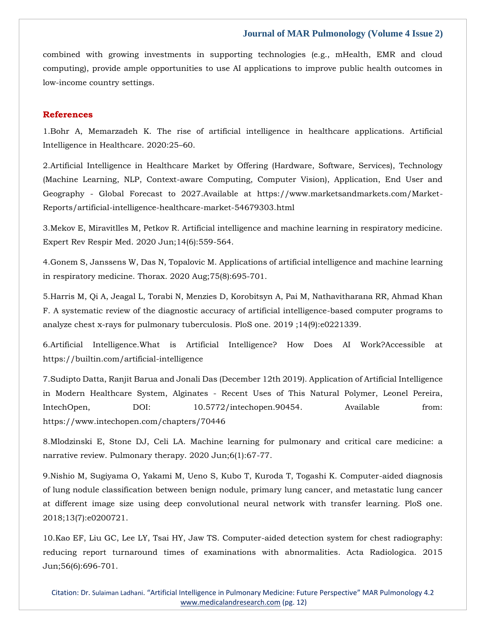combined with growing investments in supporting technologies (e.g., mHealth, EMR and cloud computing), provide ample opportunities to use AI applications to improve public health outcomes in low-income country settings.

# **References**

1.Bohr A, Memarzadeh K. The rise of artificial intelligence in healthcare applications. Artificial Intelligence in Healthcare. 2020:25–60.

2.Artificial Intelligence in Healthcare Market by Offering (Hardware, Software, Services), Technology (Machine Learning, NLP, Context-aware Computing, Computer Vision), Application, End User and Geography - Global Forecast to 2027.Available at https://www.marketsandmarkets.com/Market-Reports/artificial-intelligence-healthcare-market-54679303.html

3.Mekov E, Miravitlles M, Petkov R. Artificial intelligence and machine learning in respiratory medicine. Expert Rev Respir Med. 2020 Jun;14(6):559-564.

4.Gonem S, Janssens W, Das N, Topalovic M. Applications of artificial intelligence and machine learning in respiratory medicine. Thorax. 2020 Aug;75(8):695-701.

5.Harris M, Qi A, Jeagal L, Torabi N, Menzies D, Korobitsyn A, Pai M, Nathavitharana RR, Ahmad Khan F. A systematic review of the diagnostic accuracy of artificial intelligence-based computer programs to analyze chest x-rays for pulmonary tuberculosis. PloS one. 2019 ;14(9):e0221339.

6.Artificial Intelligence.What is Artificial Intelligence? How Does AI Work?Accessible at https://builtin.com/artificial-intelligence

7.Sudipto Datta, Ranjit Barua and Jonali Das (December 12th 2019). Application of Artificial Intelligence in Modern Healthcare System, Alginates - Recent Uses of This Natural Polymer, Leonel Pereira, IntechOpen, DOI: 10.5772/intechopen.90454. Available from: https://www.intechopen.com/chapters/70446

8.Mlodzinski E, Stone DJ, Celi LA. Machine learning for pulmonary and critical care medicine: a narrative review. Pulmonary therapy. 2020 Jun;6(1):67-77.

9.Nishio M, Sugiyama O, Yakami M, Ueno S, Kubo T, Kuroda T, Togashi K. Computer-aided diagnosis of lung nodule classification between benign nodule, primary lung cancer, and metastatic lung cancer at different image size using deep convolutional neural network with transfer learning. PloS one. 2018;13(7):e0200721.

10.Kao EF, Liu GC, Lee LY, Tsai HY, Jaw TS. Computer-aided detection system for chest radiography: reducing report turnaround times of examinations with abnormalities. Acta Radiologica. 2015 Jun;56(6):696-701.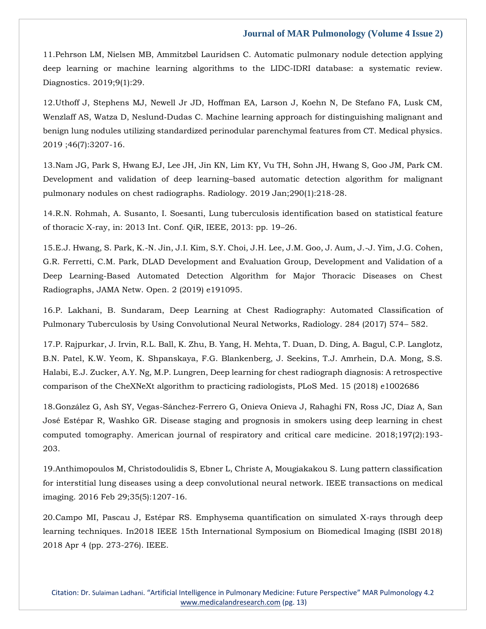11.Pehrson LM, Nielsen MB, Ammitzbøl Lauridsen C. Automatic pulmonary nodule detection applying deep learning or machine learning algorithms to the LIDC-IDRI database: a systematic review. Diagnostics. 2019;9(1):29.

12.Uthoff J, Stephens MJ, Newell Jr JD, Hoffman EA, Larson J, Koehn N, De Stefano FA, Lusk CM, Wenzlaff AS, Watza D, Neslund‐Dudas C. Machine learning approach for distinguishing malignant and benign lung nodules utilizing standardized perinodular parenchymal features from CT. Medical physics. 2019 ;46(7):3207-16.

13.Nam JG, Park S, Hwang EJ, Lee JH, Jin KN, Lim KY, Vu TH, Sohn JH, Hwang S, Goo JM, Park CM. Development and validation of deep learning–based automatic detection algorithm for malignant pulmonary nodules on chest radiographs. Radiology. 2019 Jan;290(1):218-28.

14.R.N. Rohmah, A. Susanto, I. Soesanti, Lung tuberculosis identification based on statistical feature of thoracic X-ray, in: 2013 Int. Conf. QiR, IEEE, 2013: pp. 19–26.

15.E.J. Hwang, S. Park, K.-N. Jin, J.I. Kim, S.Y. Choi, J.H. Lee, J.M. Goo, J. Aum, J.-J. Yim, J.G. Cohen, G.R. Ferretti, C.M. Park, DLAD Development and Evaluation Group, Development and Validation of a Deep Learning-Based Automated Detection Algorithm for Major Thoracic Diseases on Chest Radiographs, JAMA Netw. Open. 2 (2019) e191095.

16.P. Lakhani, B. Sundaram, Deep Learning at Chest Radiography: Automated Classification of Pulmonary Tuberculosis by Using Convolutional Neural Networks, Radiology. 284 (2017) 574– 582.

17.P. Rajpurkar, J. Irvin, R.L. Ball, K. Zhu, B. Yang, H. Mehta, T. Duan, D. Ding, A. Bagul, C.P. Langlotz, B.N. Patel, K.W. Yeom, K. Shpanskaya, F.G. Blankenberg, J. Seekins, T.J. Amrhein, D.A. Mong, S.S. Halabi, E.J. Zucker, A.Y. Ng, M.P. Lungren, Deep learning for chest radiograph diagnosis: A retrospective comparison of the CheXNeXt algorithm to practicing radiologists, PLoS Med. 15 (2018) e1002686

18.González G, Ash SY, Vegas-Sánchez-Ferrero G, Onieva Onieva J, Rahaghi FN, Ross JC, Díaz A, San José Estépar R, Washko GR. Disease staging and prognosis in smokers using deep learning in chest computed tomography. American journal of respiratory and critical care medicine. 2018;197(2):193- 203.

19.Anthimopoulos M, Christodoulidis S, Ebner L, Christe A, Mougiakakou S. Lung pattern classification for interstitial lung diseases using a deep convolutional neural network. IEEE transactions on medical imaging. 2016 Feb 29;35(5):1207-16.

20.Campo MI, Pascau J, Estépar RS. Emphysema quantification on simulated X-rays through deep learning techniques. In2018 IEEE 15th International Symposium on Biomedical Imaging (ISBI 2018) 2018 Apr 4 (pp. 273-276). IEEE.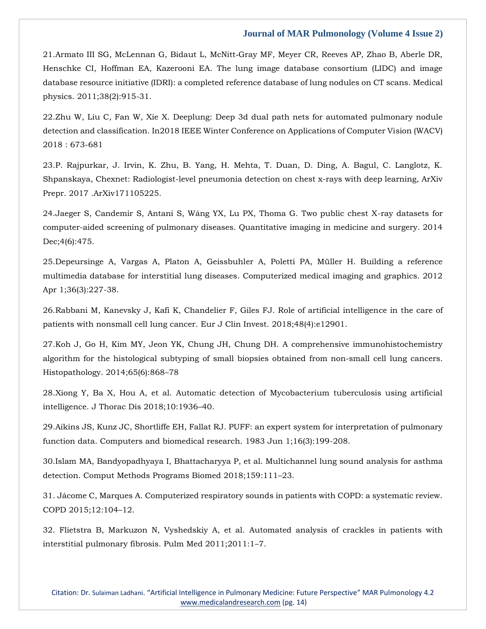21.Armato III SG, McLennan G, Bidaut L, McNitt‐Gray MF, Meyer CR, Reeves AP, Zhao B, Aberle DR, Henschke CI, Hoffman EA, Kazerooni EA. The lung image database consortium (LIDC) and image database resource initiative (IDRI): a completed reference database of lung nodules on CT scans. Medical physics. 2011;38(2):915-31.

22.Zhu W, Liu C, Fan W, Xie X. Deeplung: Deep 3d dual path nets for automated pulmonary nodule detection and classification. In2018 IEEE Winter Conference on Applications of Computer Vision (WACV) 2018 : 673-681

23.P. Rajpurkar, J. Irvin, K. Zhu, B. Yang, H. Mehta, T. Duan, D. Ding, A. Bagul, C. Langlotz, K. Shpanskaya, Chexnet: Radiologist-level pneumonia detection on chest x-rays with deep learning, ArXiv Prepr. 2017 .ArXiv171105225.

24.Jaeger S, Candemir S, Antani S, Wáng YX, Lu PX, Thoma G. Two public chest X-ray datasets for computer-aided screening of pulmonary diseases. Quantitative imaging in medicine and surgery. 2014 Dec;4(6):475.

25.Depeursinge A, Vargas A, Platon A, Geissbuhler A, Poletti PA, Müller H. Building a reference multimedia database for interstitial lung diseases. Computerized medical imaging and graphics. 2012 Apr 1;36(3):227-38.

26.Rabbani M, Kanevsky J, Kafi K, Chandelier F, Giles FJ. Role of artificial intelligence in the care of patients with nonsmall cell lung cancer. Eur J Clin Invest. 2018;48(4):e12901.

27.Koh J, Go H, Kim MY, Jeon YK, Chung JH, Chung DH. A comprehensive immunohistochemistry algorithm for the histological subtyping of small biopsies obtained from non-small cell lung cancers. Histopathology. 2014;65(6):868–78

28.Xiong Y, Ba X, Hou A, et al. Automatic detection of Mycobacterium tuberculosis using artificial intelligence. J Thorac Dis 2018;10:1936–40.

29.Aikins JS, Kunz JC, Shortliffe EH, Fallat RJ. PUFF: an expert system for interpretation of pulmonary function data. Computers and biomedical research. 1983 Jun 1;16(3):199-208.

30.Islam MA, Bandyopadhyaya I, Bhattacharyya P, et al. Multichannel lung sound analysis for asthma detection. Comput Methods Programs Biomed 2018;159:111–23.

31. Jácome C, Marques A. Computerized respiratory sounds in patients with COPD: a systematic review. COPD 2015;12:104–12.

32. Flietstra B, Markuzon N, Vyshedskiy A, et al. Automated analysis of crackles in patients with interstitial pulmonary fibrosis. Pulm Med 2011;2011:1–7.